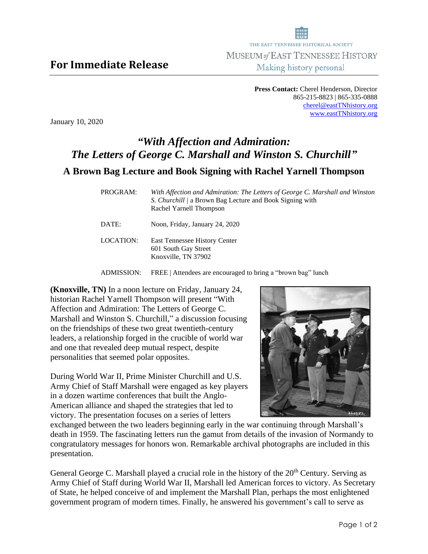**Press Contact:** Cherel Henderson, Director 865-215-8823 | 865-335-0888 [cherel@eastTNhistory.org](mailto:cherel@eastTNhistory.org) [www.eastTNhistory.org](http://www.easttnhistory.org/)

January 10, 2020

## *"With Affection and Admiration: The Letters of George C. Marshall and Winston S. Churchill"* **A Brown Bag Lecture and Book Signing with Rachel Yarnell Thompson**

| PROGRAM:  | With Affection and Admiration: The Letters of George C. Marshall and Winston<br>S. Churchill / a Brown Bag Lecture and Book Signing with<br>Rachel Yarnell Thompson |
|-----------|---------------------------------------------------------------------------------------------------------------------------------------------------------------------|
| DATE:     | Noon, Friday, January 24, 2020                                                                                                                                      |
| LOCATION: | East Tennessee History Center<br>601 South Gay Street<br>Knoxville, TN 37902                                                                                        |

ADMISSION: FREE | Attendees are encouraged to bring a "brown bag" lunch

**(Knoxville, TN)** In a noon lecture on Friday, January 24, historian Rachel Yarnell Thompson will present "With Affection and Admiration: The Letters of George C. Marshall and Winston S. Churchill," a discussion focusing on the friendships of these two great twentieth-century leaders, a relationship forged in the crucible of world war and one that revealed deep mutual respect, despite personalities that seemed polar opposites.

During World War II, Prime Minister Churchill and U.S. Army Chief of Staff Marshall were engaged as key players in a dozen wartime conferences that built the Anglo-American alliance and shaped the strategies that led to victory. The presentation focuses on a series of letters



exchanged between the two leaders beginning early in the war continuing through Marshall's death in 1959. The fascinating letters run the gamut from details of the invasion of Normandy to congratulatory messages for honors won. Remarkable archival photographs are included in this presentation.

General George C. Marshall played a crucial role in the history of the 20<sup>th</sup> Century. Serving as Army Chief of Staff during World War II, Marshall led American forces to victory. As Secretary of State, he helped conceive of and implement the Marshall Plan, perhaps the most enlightened government program of modern times. Finally, he answered his government's call to serve as